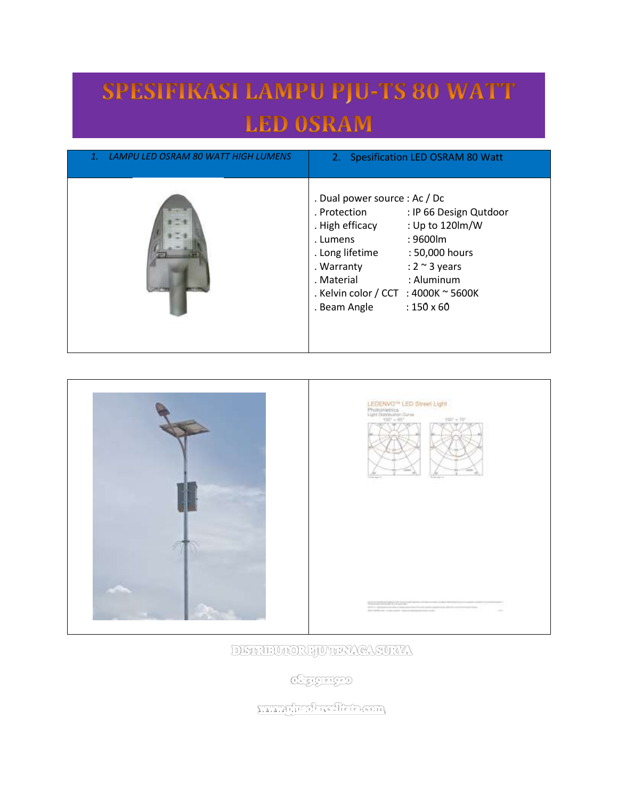## SPESIFIKASI LAMPU PJU-TS 80 WATT **LED OSRAM**

| LAMPU LED OSRAM 80 WATT HIGH LUMENS | 2. Spesification LED OSRAM 80 Watt                                                                                                                                                                                                                                                                                         |
|-------------------------------------|----------------------------------------------------------------------------------------------------------------------------------------------------------------------------------------------------------------------------------------------------------------------------------------------------------------------------|
|                                     | . Dual power source : Ac / Dc<br>: IP 66 Design Qutdoor<br>. Protection<br>: Up to 120lm/W<br>. High efficacy<br>: 9600lm<br>. Lumens<br>. Long lifetime<br>: 50,000 hours<br>. Warranty<br>: $2 \sim 3$ years<br>: Aluminum<br>. Material<br>. Kelvin color / CCT : 4000K $\sim$ 5600K<br>$:150\times 60$<br>. Beam Angle |





DISTRIBUTORE JUTHAY CASURYA

**CHEICHTED** 

www.drokreftaarm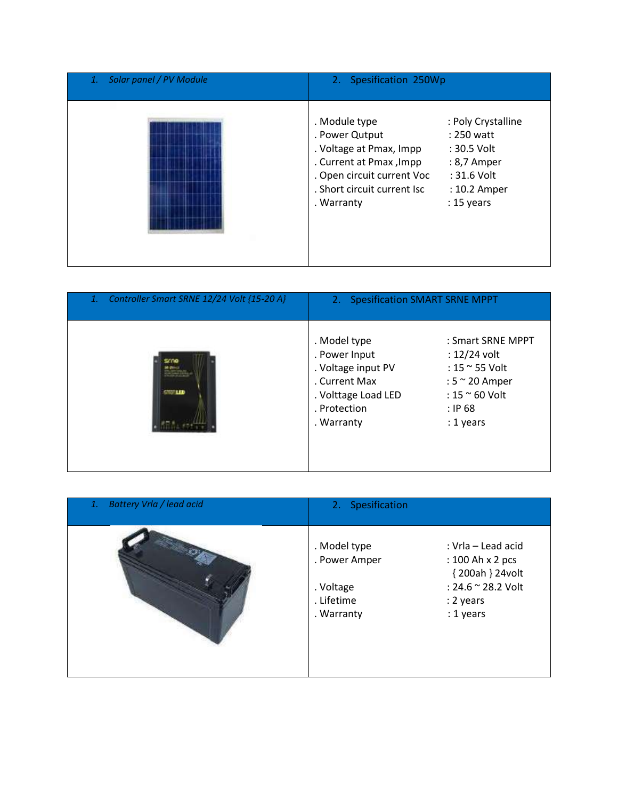| Solar panel / PV Module<br>1. | 2. Spesification 250Wp                                                                                                                                                                                                                                                            |  |
|-------------------------------|-----------------------------------------------------------------------------------------------------------------------------------------------------------------------------------------------------------------------------------------------------------------------------------|--|
|                               | . Module type<br>: Poly Crystalline<br>. Power Qutput<br>: 250 watt<br>. Voltage at Pmax, Impp<br>: 30.5 Volt<br>. Current at Pmax, Impp<br>: 8,7 Amper<br>. Open circuit current Voc<br>: 31.6 Volt<br>. Short circuit current Isc<br>: 10.2 Amper<br>$: 15$ years<br>. Warranty |  |

| Controller Smart SRNE 12/24 Volt {15-20 A}<br>1. | 2. Spesification SMART SRNE MPPT                                                                                          |                                                                                                                                     |
|--------------------------------------------------|---------------------------------------------------------------------------------------------------------------------------|-------------------------------------------------------------------------------------------------------------------------------------|
| <b>STORIED</b>                                   | . Model type<br>. Power Input<br>. Voltage input PV<br>. Current Max<br>. Volttage Load LED<br>. Protection<br>. Warranty | : Smart SRNE MPPT<br>$: 12/24$ volt<br>: 15 ~ 55 Volt<br>: $5 \approx 20$ Amper<br>: $15 \approx 60$ Volt<br>$:$ IP 68<br>: 1 years |

| Battery Vrla / lead acid<br>1. | 2. Spesification                                                       |                                                                                                           |
|--------------------------------|------------------------------------------------------------------------|-----------------------------------------------------------------------------------------------------------|
|                                | . Model type<br>. Power Amper<br>. Voltage<br>. Lifetime<br>. Warranty | : Vrla – Lead acid<br>: 100 Ah x 2 pcs<br>{200ah } 24volt<br>: 24.6 ~ 28.2 Volt<br>: 2 years<br>: 1 years |